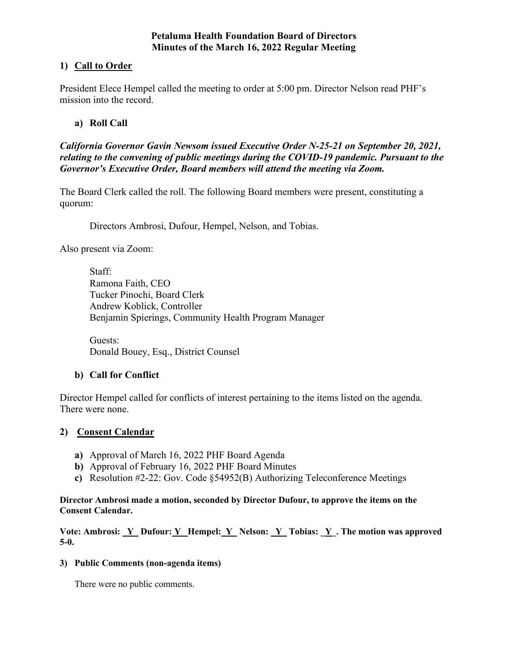## **Petaluma Health Foundation Board of Directors Minutes of the March 16, 2022 Regular Meeting**

# **1) Call to Order**

President Elece Hempel called the meeting to order at 5:00 pm. Director Nelson read PHF's mission into the record.

# **a) Roll Call**

*California Governor Gavin Newsom issued Executive Order N-25-21 on September 20, 2021, relating to the convening of public meetings during the COVID-19 pandemic. Pursuant to the Governor's Executive Order, Board members will attend the meeting via Zoom.* 

The Board Clerk called the roll. The following Board members were present, constituting a quorum:

Directors Ambrosi, Dufour, Hempel, Nelson, and Tobias.

Also present via Zoom:

Staff: Ramona Faith, CEO Tucker Pinochi, Board Clerk Andrew Koblick, Controller Benjamin Spierings, Community Health Program Manager

Guests: Donald Bouey, Esq., District Counsel

# **b) Call for Conflict**

Director Hempel called for conflicts of interest pertaining to the items listed on the agenda. There were none.

# **2) Consent Calendar**

- **a)** Approval of March 16, 2022 PHF Board Agenda
- **b)** Approval of February 16, 2022 PHF Board Minutes
- **c)** Resolution #2-22: Gov. Code §54952(B) Authorizing Teleconference Meetings

## **Director Ambrosi made a motion, seconded by Director Dufour, to approve the items on the Consent Calendar.**

Vote: Ambrosi: Y\_ Dufour: Y\_ Hempel: Y\_ Nelson: Y\_ Tobias: Y\_. The motion was approved **5-0.** 

## **3) Public Comments (non-agenda items)**

There were no public comments.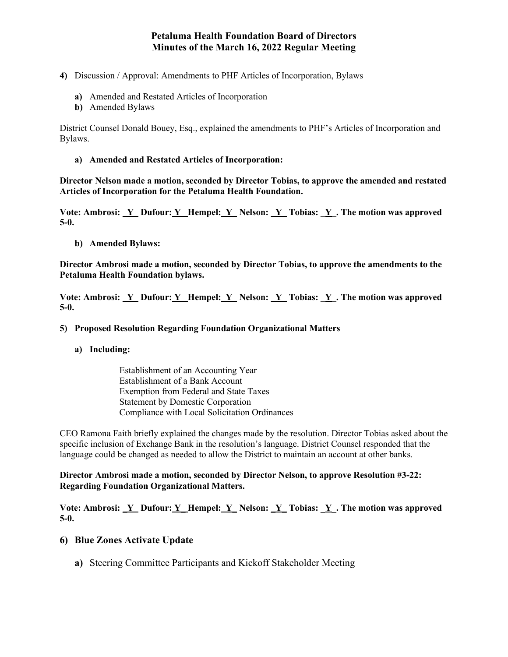## **Petaluma Health Foundation Board of Directors Minutes of the March 16, 2022 Regular Meeting**

- **4)** Discussion / Approval: Amendments to PHF Articles of Incorporation, Bylaws
	- **a)** Amended and Restated Articles of Incorporation
	- **b)** Amended Bylaws

District Counsel Donald Bouey, Esq., explained the amendments to PHF's Articles of Incorporation and Bylaws.

**a) Amended and Restated Articles of Incorporation:** 

**Director Nelson made a motion, seconded by Director Tobias, to approve the amended and restated Articles of Incorporation for the Petaluma Health Foundation.** 

**Vote: Ambrosi: \_Y Dufour: Y\_ Hempel: Y\_ Nelson: \_Y\_ Tobias: \_Y\_. The motion was approved 5-0.** 

**b) Amended Bylaws:**

**Director Ambrosi made a motion, seconded by Director Tobias, to approve the amendments to the Petaluma Health Foundation bylaws.** 

Vote: Ambrosi: Y\_ Dufour: Y\_ Hempel: Y\_ Nelson: Y\_ Tobias: Y\_. The motion was approved **5-0.** 

#### **5) Proposed Resolution Regarding Foundation Organizational Matters**

**a) Including:** 

Establishment of an Accounting Year Establishment of a Bank Account Exemption from Federal and State Taxes Statement by Domestic Corporation Compliance with Local Solicitation Ordinances

CEO Ramona Faith briefly explained the changes made by the resolution. Director Tobias asked about the specific inclusion of Exchange Bank in the resolution's language. District Counsel responded that the language could be changed as needed to allow the District to maintain an account at other banks.

**Director Ambrosi made a motion, seconded by Director Nelson, to approve Resolution #3-22: Regarding Foundation Organizational Matters.** 

Vote: Ambrosi: Y\_ Dufour: Y\_ Hempel: Y\_ Nelson: Y\_ Tobias: Y\_. The motion was approved **5-0.** 

## **6) Blue Zones Activate Update**

**a)** Steering Committee Participants and Kickoff Stakeholder Meeting